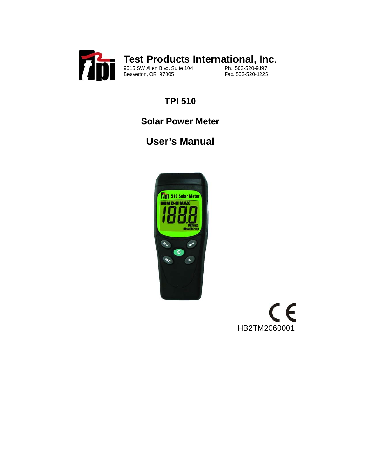

# **TPI 510**

# **Solar Power Meter**

# **User's Manual**



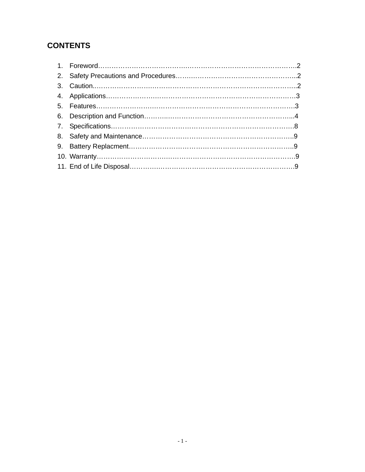### **CONTENTS**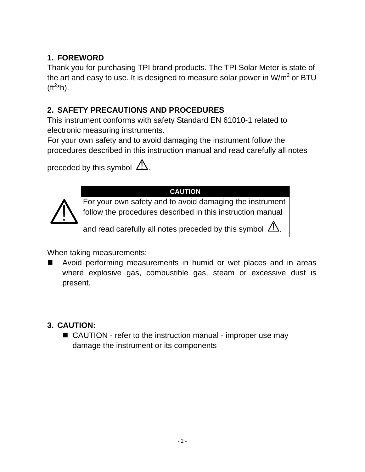## **1. FOREWORD**

Thank you for purchasing TPI brand products. The TPI Solar Meter is state of the art and easy to use. It is designed to measure solar power in W/m<sup>2</sup> or BTU  $(\text{ft}^{2*}h)$ .

### **2. SAFETY PRECAUTIONS AND PROCEDURES**

This instrument conforms with safety Standard EN 61010-1 related to electronic measuring instruments.

For your own safety and to avoid damaging the instrument follow the procedures described in this instruction manual and read carefully all notes

preceded by this symbol  $\sqrt{2}$ .



**CAUTION** 

For your own safety and to avoid damaging the instrument follow the procedures described in this instruction manual

and read carefully all notes preceded by this symbol  $\sqrt{2}$ .

When taking measurements:

 Avoid performing measurements in humid or wet places and in areas where explosive gas, combustible gas, steam or excessive dust is present.

## **3. CAUTION:**

■ CAUTION - refer to the instruction manual - improper use may damage the instrument or its components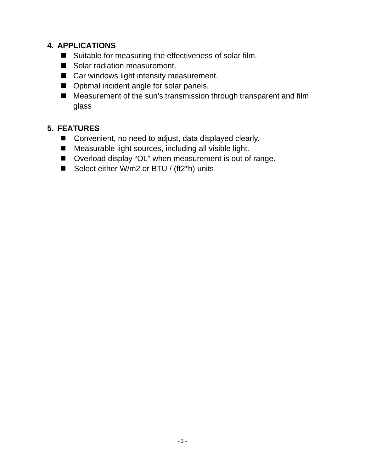#### **4. APPLICATIONS**

- Suitable for measuring the effectiveness of solar film.
- Solar radiation measurement.
- Car windows light intensity measurement.
- $\blacksquare$  Optimal incident angle for solar panels.
- Measurement of the sun's transmission through transparent and film glass

#### **5. FEATURES**

- Convenient, no need to adjust, data displayed clearly.
- Measurable light sources, including all visible light.
- Overload display "OL" when measurement is out of range.
- Select either W/m2 or BTU / (ft2\*h) units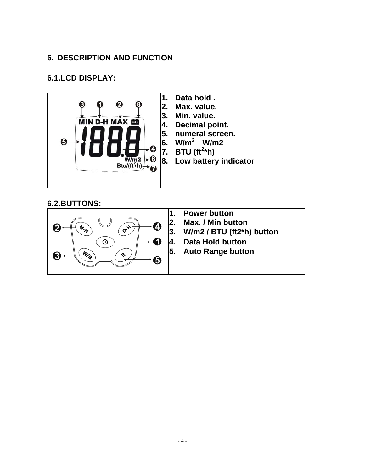#### **6. DESCRIPTION AND FUNCTION**

#### **6.1. LCD DISPLAY:**



#### **6.2. BUTTONS:**

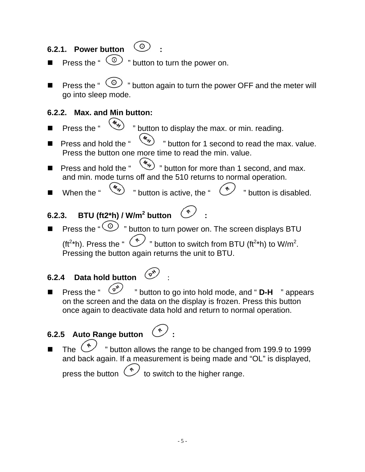# 6.2.1. Power button  $\circledcirc$

- **Press the "**  $\circledcirc$  **" button to turn the power on.**
- **Press the "**  $\circledcirc$  " button again to turn the power OFF and the meter will go into sleep mode.

#### **6.2.2. Max. and Min button:**

- Press the "  $\left(\frac{M_{\nu}}{N}\right)$  " button to display the max. or min. reading.
- **Press and hold the "**  $\left(\frac{m}{2}\right)$  " button for 1 second to read the max. value. Press the button one more time to read the min. value.
- **Press and hold the "**  $\left(\frac{m}{2}\right)$  " button for more than 1 second, and max. and min. mode turns off and the 510 returns to normal operation.
- When the "  $\left(\frac{\phi_{\lambda}}{\lambda}\right)$  " button is active, the "  $\left(\frac{\phi_{\lambda}}{\lambda}\right)$ " button is disabled.

# 6.2.3. BTU (ft2\*h) / W/m<sup>2</sup> button  $\circlearrowright$  :

Press the " $\circledcirc$ " button to turn power on. The screen displays BTU (ft<sup>2\*</sup>h). Press the " w button to switch from BTU (ft<sup>2\*</sup>h) to W/m<sup>2</sup>. Pressing the button again returns the unit to BTU.

# **6.2.4 Data hold button**  $\begin{pmatrix} \circ^{\mathbf{x}} \\ \circ^{\mathbf{x}} \end{pmatrix}$

Press the "  $($ <sub>o</sub><sup>\*</sup>) " button to go into hold mode, and " **D-H** " appears on the screen and the data on the display is frozen. Press this button once again to deactivate data hold and return to normal operation.

# **6.2.5 Auto Range button**

The  $\leftarrow$  " button allows the range to be changed from 199.9 to 1999 and back again. If a measurement is being made and "OL" is displayed, press the button  $\mathbb{C}$  to switch to the higher range.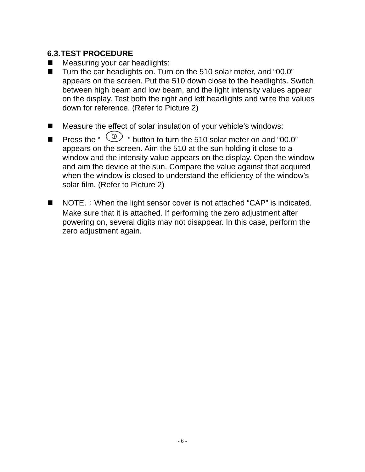#### **6.3. TEST PROCEDURE**

- Measuring your car headlights:
- Turn the car headlights on. Turn on the 510 solar meter, and "00.0" appears on the screen. Put the 510 down close to the headlights. Switch between high beam and low beam, and the light intensity values appear on the display. Test both the right and left headlights and write the values down for reference. (Refer to Picture 2)
- Measure the effect of solar insulation of your vehicle's windows:
- **Press the "**  $\circled{O}$  " button to turn the 510 solar meter on and "00.0" appears on the screen. Aim the 510 at the sun holding it close to a window and the intensity value appears on the display. Open the window and aim the device at the sun. Compare the value against that acquired when the window is closed to understand the efficiency of the window's solar film. (Refer to Picture 2)
- $\blacksquare$  NOTE.: When the light sensor cover is not attached "CAP" is indicated. Make sure that it is attached. If performing the zero adjustment after powering on, several digits may not disappear. In this case, perform the zero adjustment again.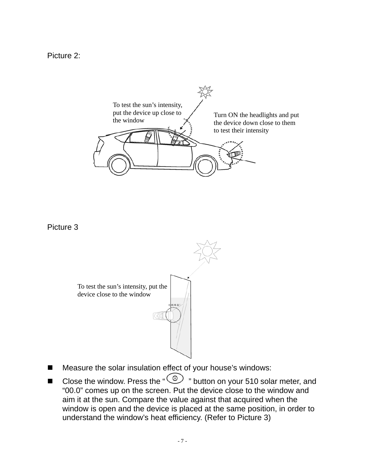Picture 2:



Picture 3



- Measure the solar insulation effect of your house's windows:
- Close the window. Press the " $\textcircled{\tiny{13}}$  " button on your 510 solar meter, and "00.0" comes up on the screen. Put the device close to the window and aim it at the sun. Compare the value against that acquired when the window is open and the device is placed at the same position, in order to understand the window's heat efficiency. (Refer to Picture 3)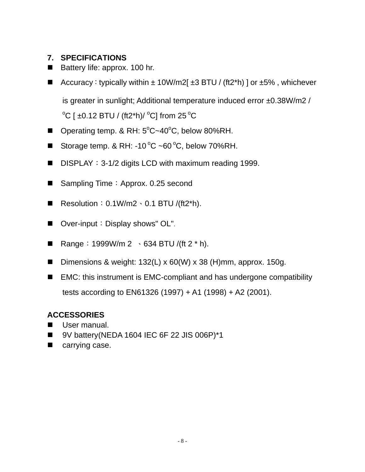#### **7. SPECIFICATIONS**

- Battery life: approx. 100 hr.
- Accuracy: typically within  $\pm$  10W/m2[ $\pm$ 3 BTU / (ft2\*h) ] or  $\pm$ 5%, whichever

is greater in sunlight; Additional temperature induced error ±0.38W/m2 /

 $\mathrm{^o}\mathrm{C}$  [ ±0.12 BTU / (ft2\*h)/  $\mathrm{^o}\mathrm{C}$ ] from 25  $\mathrm{^o}\mathrm{C}$ 

- Operating temp. & RH: 5°C~40°C, below 80%RH.
- Storage temp. & RH: -10 $\degree$ C ~60 $\degree$ C, below 70%RH.
- **DISPLAY: 3-1/2 digits LCD with maximum reading 1999.**
- Sampling Time: Approx. 0.25 second
- Resolution:  $0.1W/m2 \cdot 0.1 B T U / (ft2<sup>*</sup>h)$ .
- Over-input: Display shows" OL".
- Range: 1999W/m 2  $\cdot$  634 BTU /(ft 2  $*$  h).
- **Dimensions & weight: 132(L) x 60(W) x 38 (H)mm, approx. 150g.**
- EMC: this instrument is EMC-compliant and has undergone compatibility tests according to EN61326 (1997) + A1 (1998) + A2 (2001).

#### **ACCESSORIES**

- User manual.
- $\blacksquare$  9V battery(NEDA 1604 IEC 6F 22 JIS 006P)\*1
- **E** carrying case.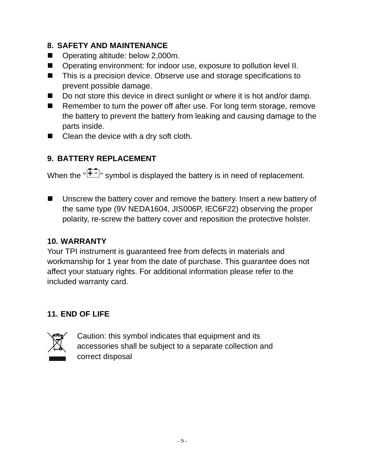#### **8. SAFETY AND MAINTENANCE**

- Operating altitude: below 2,000m.
- Operating environment: for indoor use, exposure to pollution level II.
- This is a precision device. Observe use and storage specifications to prevent possible damage.
- Do not store this device in direct sunlight or where it is hot and/or damp.
- Remember to turn the power off after use. For long term storage, remove the battery to prevent the battery from leaking and causing damage to the parts inside.
- Clean the device with a dry soft cloth.

## **9. BATTERY REPLACEMENT**

When the  $\sqrt{2+1}$  symbol is displayed the battery is in need of replacement.

■ Unscrew the battery cover and remove the battery. Insert a new battery of the same type (9V NEDA1604, JIS006P, IEC6F22) observing the proper polarity, re-screw the battery cover and reposition the protective holster.

#### **10. WARRANTY**

Your TPI instrument is guaranteed free from defects in materials and workmanship for 1 year from the date of purchase. This guarantee does not affect your statuary rights. For additional information please refer to the included warranty card.

## **11. END OF LIFE**



Caution: this symbol indicates that equipment and its accessories shall be subject to a separate collection and correct disposal